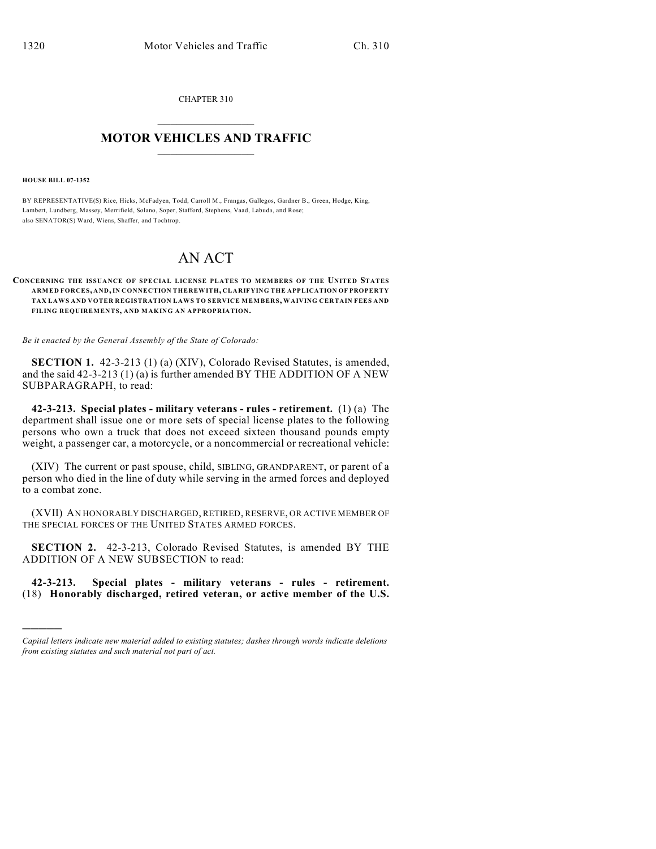CHAPTER 310  $\mathcal{L}_\text{max}$  . The set of the set of the set of the set of the set of the set of the set of the set of the set of the set of the set of the set of the set of the set of the set of the set of the set of the set of the set

## **MOTOR VEHICLES AND TRAFFIC**  $\frac{1}{2}$  ,  $\frac{1}{2}$  ,  $\frac{1}{2}$  ,  $\frac{1}{2}$  ,  $\frac{1}{2}$  ,  $\frac{1}{2}$  ,  $\frac{1}{2}$

**HOUSE BILL 07-1352**

)))))

BY REPRESENTATIVE(S) Rice, Hicks, McFadyen, Todd, Carroll M., Frangas, Gallegos, Gardner B., Green, Hodge, King, Lambert, Lundberg, Massey, Merrifield, Solano, Soper, Stafford, Stephens, Vaad, Labuda, and Rose; also SENATOR(S) Ward, Wiens, Shaffer, and Tochtrop.

## AN ACT

## **CONCERNING THE ISSUANCE OF SPECIAL LICENSE PLATES TO M EMBERS OF THE UNITED STATES ARMED FORCES, AND, IN CONNECTION THEREWITH, CLARIFYING THE APPLICATION OF PROPERTY TAX LAWS AND VOTER REGISTRATION LAWS TO SERVICE MEMBERS, WAIVING CERTAIN FEES AND FILING REQUIREMENTS, AND MAKING AN APPROPRIATION.**

*Be it enacted by the General Assembly of the State of Colorado:*

**SECTION 1.** 42-3-213 (1) (a) (XIV), Colorado Revised Statutes, is amended, and the said 42-3-213 (1) (a) is further amended BY THE ADDITION OF A NEW SUBPARAGRAPH, to read:

**42-3-213. Special plates - military veterans - rules - retirement.** (1) (a) The department shall issue one or more sets of special license plates to the following persons who own a truck that does not exceed sixteen thousand pounds empty weight, a passenger car, a motorcycle, or a noncommercial or recreational vehicle:

(XIV) The current or past spouse, child, SIBLING, GRANDPARENT, or parent of a person who died in the line of duty while serving in the armed forces and deployed to a combat zone.

(XVII) AN HONORABLY DISCHARGED, RETIRED, RESERVE, OR ACTIVE MEMBER OF THE SPECIAL FORCES OF THE UNITED STATES ARMED FORCES.

**SECTION 2.** 42-3-213, Colorado Revised Statutes, is amended BY THE ADDITION OF A NEW SUBSECTION to read:

**42-3-213. Special plates - military veterans - rules - retirement.** (18) **Honorably discharged, retired veteran, or active member of the U.S.**

*Capital letters indicate new material added to existing statutes; dashes through words indicate deletions from existing statutes and such material not part of act.*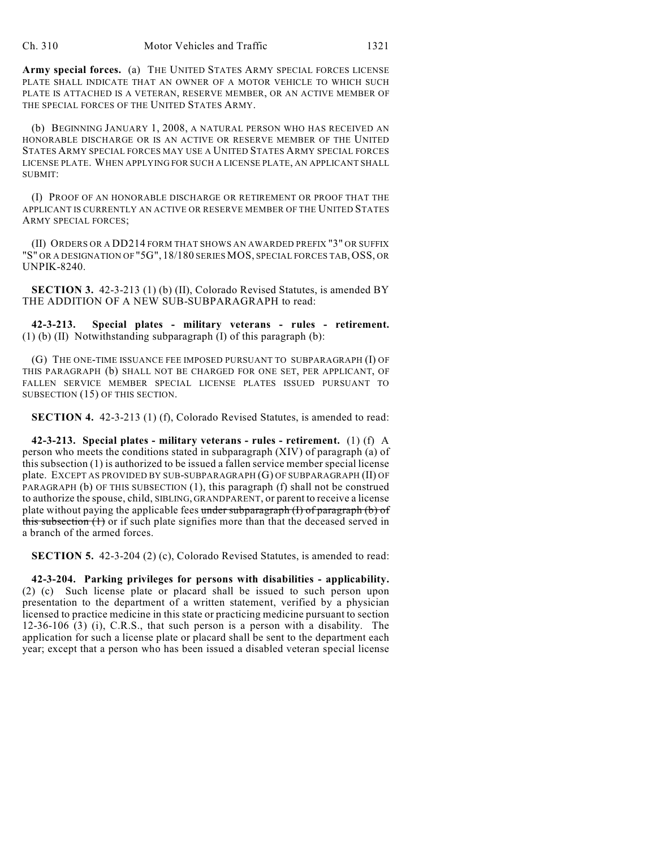Army special forces. (a) THE UNITED STATES ARMY SPECIAL FORCES LICENSE PLATE SHALL INDICATE THAT AN OWNER OF A MOTOR VEHICLE TO WHICH SUCH PLATE IS ATTACHED IS A VETERAN, RESERVE MEMBER, OR AN ACTIVE MEMBER OF THE SPECIAL FORCES OF THE UNITED STATES ARMY.

(b) BEGINNING JANUARY 1, 2008, A NATURAL PERSON WHO HAS RECEIVED AN HONORABLE DISCHARGE OR IS AN ACTIVE OR RESERVE MEMBER OF THE UNITED STATES ARMY SPECIAL FORCES MAY USE A UNITED STATES ARMY SPECIAL FORCES LICENSE PLATE. WHEN APPLYING FOR SUCH A LICENSE PLATE, AN APPLICANT SHALL SUBMIT:

(I) PROOF OF AN HONORABLE DISCHARGE OR RETIREMENT OR PROOF THAT THE APPLICANT IS CURRENTLY AN ACTIVE OR RESERVE MEMBER OF THE UNITED STATES ARMY SPECIAL FORCES;

(II) ORDERS OR A DD214 FORM THAT SHOWS AN AWARDED PREFIX "3" OR SUFFIX "S" OR A DESIGNATION OF "5G", 18/180 SERIES MOS, SPECIAL FORCES TAB, OSS, OR UNPIK-8240.

**SECTION 3.** 42-3-213 (1) (b) (II), Colorado Revised Statutes, is amended BY THE ADDITION OF A NEW SUB-SUBPARAGRAPH to read:

**42-3-213. Special plates - military veterans - rules - retirement.** (1) (b) (II) Notwithstanding subparagraph (I) of this paragraph (b):

(G) THE ONE-TIME ISSUANCE FEE IMPOSED PURSUANT TO SUBPARAGRAPH (I) OF THIS PARAGRAPH (b) SHALL NOT BE CHARGED FOR ONE SET, PER APPLICANT, OF FALLEN SERVICE MEMBER SPECIAL LICENSE PLATES ISSUED PURSUANT TO SUBSECTION (15) OF THIS SECTION.

**SECTION 4.** 42-3-213 (1) (f), Colorado Revised Statutes, is amended to read:

**42-3-213. Special plates - military veterans - rules - retirement.** (1) (f) A person who meets the conditions stated in subparagraph (XIV) of paragraph (a) of this subsection (1) is authorized to be issued a fallen service member special license plate. EXCEPT AS PROVIDED BY SUB-SUBPARAGRAPH (G) OF SUBPARAGRAPH (II) OF PARAGRAPH (b) OF THIS SUBSECTION (1), this paragraph (f) shall not be construed to authorize the spouse, child, SIBLING, GRANDPARENT, or parent to receive a license plate without paying the applicable fees under subparagraph  $(I)$  of paragraph  $(b)$  of this subsection (1) or if such plate signifies more than that the deceased served in a branch of the armed forces.

**SECTION 5.** 42-3-204 (2) (c), Colorado Revised Statutes, is amended to read:

**42-3-204. Parking privileges for persons with disabilities - applicability.** (2) (c) Such license plate or placard shall be issued to such person upon presentation to the department of a written statement, verified by a physician licensed to practice medicine in this state or practicing medicine pursuant to section 12-36-106 (3) (i), C.R.S., that such person is a person with a disability. The application for such a license plate or placard shall be sent to the department each year; except that a person who has been issued a disabled veteran special license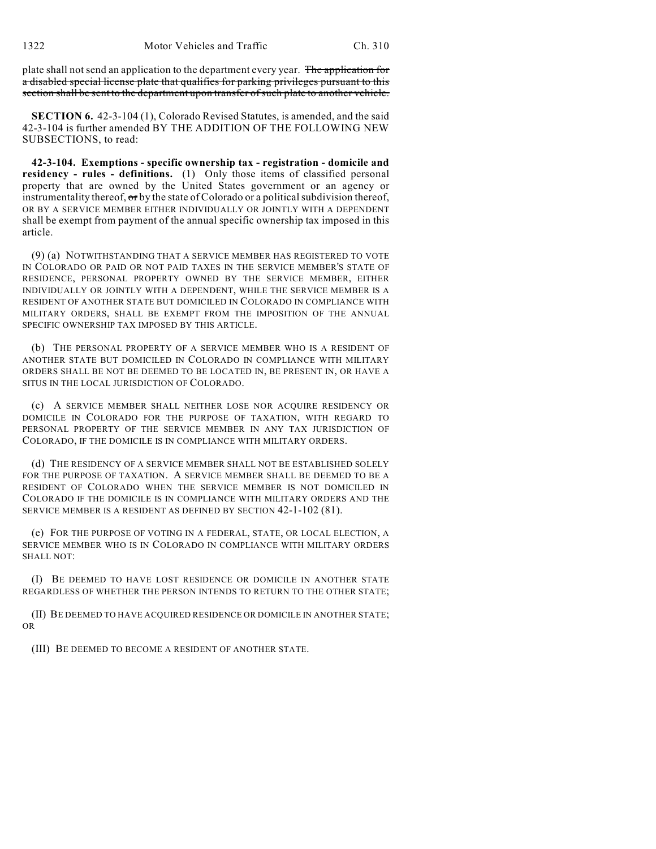plate shall not send an application to the department every year. The application for a disabled special license plate that qualifies for parking privileges pursuant to this section shall be sent to the department upon transfer of such plate to another vehicle.

**SECTION 6.** 42-3-104 (1), Colorado Revised Statutes, is amended, and the said 42-3-104 is further amended BY THE ADDITION OF THE FOLLOWING NEW SUBSECTIONS, to read:

**42-3-104. Exemptions - specific ownership tax - registration - domicile and residency - rules - definitions.** (1) Only those items of classified personal property that are owned by the United States government or an agency or instrumentality thereof,  $\sigma r$  by the state of Colorado or a political subdivision thereof, OR BY A SERVICE MEMBER EITHER INDIVIDUALLY OR JOINTLY WITH A DEPENDENT shall be exempt from payment of the annual specific ownership tax imposed in this article.

(9) (a) NOTWITHSTANDING THAT A SERVICE MEMBER HAS REGISTERED TO VOTE IN COLORADO OR PAID OR NOT PAID TAXES IN THE SERVICE MEMBER'S STATE OF RESIDENCE, PERSONAL PROPERTY OWNED BY THE SERVICE MEMBER, EITHER INDIVIDUALLY OR JOINTLY WITH A DEPENDENT, WHILE THE SERVICE MEMBER IS A RESIDENT OF ANOTHER STATE BUT DOMICILED IN COLORADO IN COMPLIANCE WITH MILITARY ORDERS, SHALL BE EXEMPT FROM THE IMPOSITION OF THE ANNUAL SPECIFIC OWNERSHIP TAX IMPOSED BY THIS ARTICLE.

(b) THE PERSONAL PROPERTY OF A SERVICE MEMBER WHO IS A RESIDENT OF ANOTHER STATE BUT DOMICILED IN COLORADO IN COMPLIANCE WITH MILITARY ORDERS SHALL BE NOT BE DEEMED TO BE LOCATED IN, BE PRESENT IN, OR HAVE A SITUS IN THE LOCAL JURISDICTION OF COLORADO.

(c) A SERVICE MEMBER SHALL NEITHER LOSE NOR ACQUIRE RESIDENCY OR DOMICILE IN COLORADO FOR THE PURPOSE OF TAXATION, WITH REGARD TO PERSONAL PROPERTY OF THE SERVICE MEMBER IN ANY TAX JURISDICTION OF COLORADO, IF THE DOMICILE IS IN COMPLIANCE WITH MILITARY ORDERS.

(d) THE RESIDENCY OF A SERVICE MEMBER SHALL NOT BE ESTABLISHED SOLELY FOR THE PURPOSE OF TAXATION. A SERVICE MEMBER SHALL BE DEEMED TO BE A RESIDENT OF COLORADO WHEN THE SERVICE MEMBER IS NOT DOMICILED IN COLORADO IF THE DOMICILE IS IN COMPLIANCE WITH MILITARY ORDERS AND THE SERVICE MEMBER IS A RESIDENT AS DEFINED BY SECTION 42-1-102 (81).

(e) FOR THE PURPOSE OF VOTING IN A FEDERAL, STATE, OR LOCAL ELECTION, A SERVICE MEMBER WHO IS IN COLORADO IN COMPLIANCE WITH MILITARY ORDERS SHALL NOT:

(I) BE DEEMED TO HAVE LOST RESIDENCE OR DOMICILE IN ANOTHER STATE REGARDLESS OF WHETHER THE PERSON INTENDS TO RETURN TO THE OTHER STATE;

(II) BE DEEMED TO HAVE ACQUIRED RESIDENCE OR DOMICILE IN ANOTHER STATE; OR

(III) BE DEEMED TO BECOME A RESIDENT OF ANOTHER STATE.